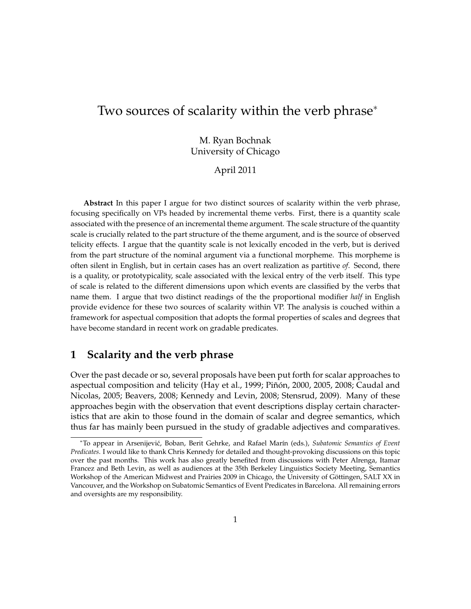# Two sources of scalarity within the verb phrase<sup>∗</sup>

M. Ryan Bochnak University of Chicago

#### April 2011

**Abstract** In this paper I argue for two distinct sources of scalarity within the verb phrase, focusing specifically on VPs headed by incremental theme verbs. First, there is a quantity scale associated with the presence of an incremental theme argument. The scale structure of the quantity scale is crucially related to the part structure of the theme argument, and is the source of observed telicity effects. I argue that the quantity scale is not lexically encoded in the verb, but is derived from the part structure of the nominal argument via a functional morpheme. This morpheme is often silent in English, but in certain cases has an overt realization as partitive *of*. Second, there is a quality, or prototypicality, scale associated with the lexical entry of the verb itself. This type of scale is related to the different dimensions upon which events are classified by the verbs that name them. I argue that two distinct readings of the the proportional modifier *half* in English provide evidence for these two sources of scalarity within VP. The analysis is couched within a framework for aspectual composition that adopts the formal properties of scales and degrees that have become standard in recent work on gradable predicates.

### **1 Scalarity and the verb phrase**

Over the past decade or so, several proposals have been put forth for scalar approaches to aspectual composition and telicity (Hay et al., 1999; Piñón, 2000, 2005, 2008; Caudal and Nicolas, 2005; Beavers, 2008; Kennedy and Levin, 2008; Stensrud, 2009). Many of these approaches begin with the observation that event descriptions display certain characteristics that are akin to those found in the domain of scalar and degree semantics, which thus far has mainly been pursued in the study of gradable adjectives and comparatives.

<sup>\*</sup>To appear in Arsenijević, Boban, Berit Gehrke, and Rafael Marín (eds.), *Subatomic Semantics of Event Predicates*. I would like to thank Chris Kennedy for detailed and thought-provoking discussions on this topic over the past months. This work has also greatly benefited from discussions with Peter Alrenga, Itamar Francez and Beth Levin, as well as audiences at the 35th Berkeley Linguistics Society Meeting, Semantics Workshop of the American Midwest and Prairies 2009 in Chicago, the University of Göttingen, SALT XX in Vancouver, and the Workshop on Subatomic Semantics of Event Predicates in Barcelona. All remaining errors and oversights are my responsibility.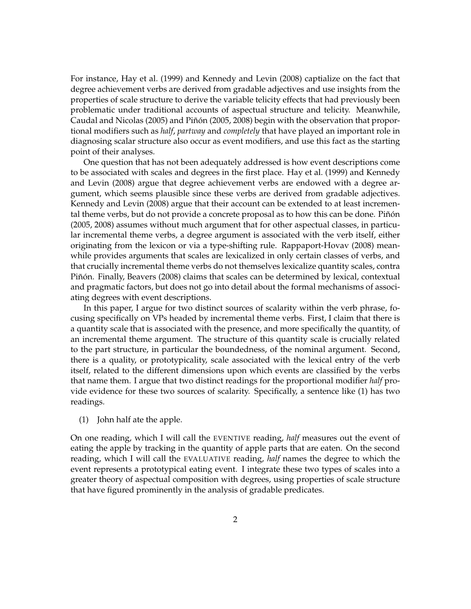For instance, Hay et al. (1999) and Kennedy and Levin (2008) captialize on the fact that degree achievement verbs are derived from gradable adjectives and use insights from the properties of scale structure to derive the variable telicity effects that had previously been problematic under traditional accounts of aspectual structure and telicity. Meanwhile, Caudal and Nicolas (2005) and Piñón (2005, 2008) begin with the observation that proportional modifiers such as *half*, *partway* and *completely* that have played an important role in diagnosing scalar structure also occur as event modifiers, and use this fact as the starting point of their analyses.

One question that has not been adequately addressed is how event descriptions come to be associated with scales and degrees in the first place. Hay et al. (1999) and Kennedy and Levin (2008) argue that degree achievement verbs are endowed with a degree argument, which seems plausible since these verbs are derived from gradable adjectives. Kennedy and Levin (2008) argue that their account can be extended to at least incremental theme verbs, but do not provide a concrete proposal as to how this can be done. Piñón (2005, 2008) assumes without much argument that for other aspectual classes, in particular incremental theme verbs, a degree argument is associated with the verb itself, either originating from the lexicon or via a type-shifting rule. Rappaport-Hovav (2008) meanwhile provides arguments that scales are lexicalized in only certain classes of verbs, and that crucially incremental theme verbs do not themselves lexicalize quantity scales, contra Piñón. Finally, Beavers (2008) claims that scales can be determined by lexical, contextual and pragmatic factors, but does not go into detail about the formal mechanisms of associating degrees with event descriptions.

In this paper, I argue for two distinct sources of scalarity within the verb phrase, focusing specifically on VPs headed by incremental theme verbs. First, I claim that there is a quantity scale that is associated with the presence, and more specifically the quantity, of an incremental theme argument. The structure of this quantity scale is crucially related to the part structure, in particular the boundedness, of the nominal argument. Second, there is a quality, or prototypicality, scale associated with the lexical entry of the verb itself, related to the different dimensions upon which events are classified by the verbs that name them. I argue that two distinct readings for the proportional modifier *half* provide evidence for these two sources of scalarity. Specifically, a sentence like (1) has two readings.

(1) John half ate the apple.

On one reading, which I will call the EVENTIVE reading, *half* measures out the event of eating the apple by tracking in the quantity of apple parts that are eaten. On the second reading, which I will call the EVALUATIVE reading, *half* names the degree to which the event represents a prototypical eating event. I integrate these two types of scales into a greater theory of aspectual composition with degrees, using properties of scale structure that have figured prominently in the analysis of gradable predicates.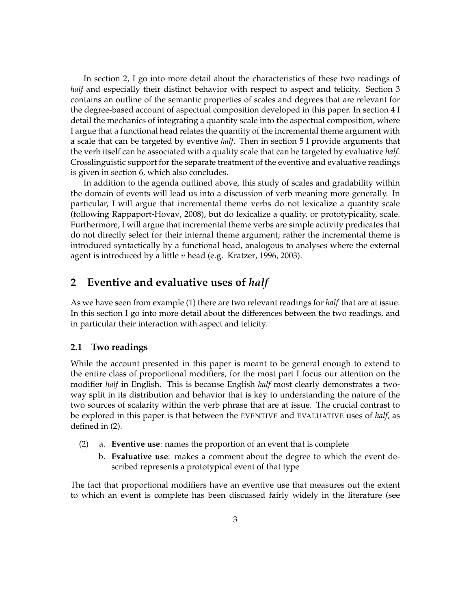In section 2, I go into more detail about the characteristics of these two readings of *half* and especially their distinct behavior with respect to aspect and telicity. Section 3 contains an outline of the semantic properties of scales and degrees that are relevant for the degree-based account of aspectual composition developed in this paper. In section 4 I detail the mechanics of integrating a quantity scale into the aspectual composition, where I argue that a functional head relates the quantity of the incremental theme argument with a scale that can be targeted by eventive *half*. Then in section 5 I provide arguments that the verb itself can be associated with a quality scale that can be targeted by evaluative *half*. Crosslinguistic support for the separate treatment of the eventive and evaluative readings is given in section 6, which also concludes.

In addition to the agenda outlined above, this study of scales and gradability within the domain of events will lead us into a discussion of verb meaning more generally. In particular, I will argue that incremental theme verbs do not lexicalize a quantity scale (following Rappaport-Hovav, 2008), but do lexicalize a quality, or prototypicality, scale. Furthermore, I will argue that incremental theme verbs are simple activity predicates that do not directly select for their internal theme argument; rather the incremental theme is introduced syntactically by a functional head, analogous to analyses where the external agent is introduced by a little  $v$  head (e.g. Kratzer, 1996, 2003).

### **2 Eventive and evaluative uses of** *half*

As we have seen from example (1) there are two relevant readings for *half* that are at issue. In this section I go into more detail about the differences between the two readings, and in particular their interaction with aspect and telicity.

#### **2.1 Two readings**

While the account presented in this paper is meant to be general enough to extend to the entire class of proportional modifiers, for the most part I focus our attention on the modifier *half* in English. This is because English *half* most clearly demonstrates a twoway split in its distribution and behavior that is key to understanding the nature of the two sources of scalarity within the verb phrase that are at issue. The crucial contrast to be explored in this paper is that between the EVENTIVE and EVALUATIVE uses of *half*, as defined in (2).

- (2) a. **Eventive use**: names the proportion of an event that is complete
	- b. **Evaluative use**: makes a comment about the degree to which the event described represents a prototypical event of that type

The fact that proportional modifiers have an eventive use that measures out the extent to which an event is complete has been discussed fairly widely in the literature (see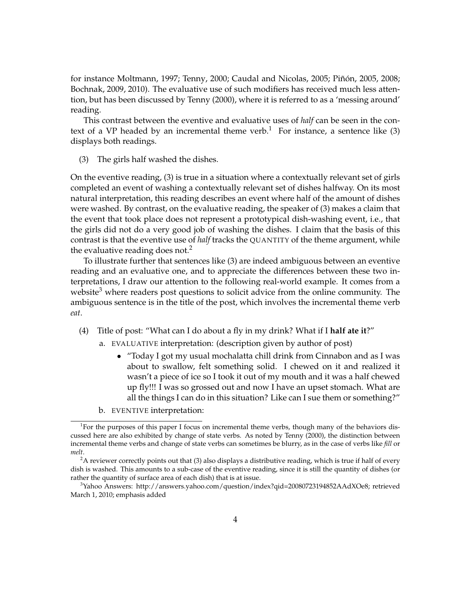for instance Moltmann, 1997; Tenny, 2000; Caudal and Nicolas, 2005; Piñón, 2005, 2008; Bochnak, 2009, 2010). The evaluative use of such modifiers has received much less attention, but has been discussed by Tenny (2000), where it is referred to as a 'messing around' reading.

This contrast between the eventive and evaluative uses of *half* can be seen in the context of a VP headed by an incremental theme verb.<sup>1</sup> For instance, a sentence like  $(3)$ displays both readings.

(3) The girls half washed the dishes.

On the eventive reading, (3) is true in a situation where a contextually relevant set of girls completed an event of washing a contextually relevant set of dishes halfway. On its most natural interpretation, this reading describes an event where half of the amount of dishes were washed. By contrast, on the evaluative reading, the speaker of (3) makes a claim that the event that took place does not represent a prototypical dish-washing event, i.e., that the girls did not do a very good job of washing the dishes. I claim that the basis of this contrast is that the eventive use of *half* tracks the QUANTITY of the theme argument, while the evaluative reading does not.<sup>2</sup>

To illustrate further that sentences like (3) are indeed ambiguous between an eventive reading and an evaluative one, and to appreciate the differences between these two interpretations, I draw our attention to the following real-world example. It comes from a website<sup>3</sup> where readers post questions to solicit advice from the online community. The ambiguous sentence is in the title of the post, which involves the incremental theme verb *eat*.

- (4) Title of post: "What can I do about a fly in my drink? What if I **half ate it**?"
	- a. EVALUATIVE interpretation: (description given by author of post)
		- "Today I got my usual mochalatta chill drink from Cinnabon and as I was about to swallow, felt something solid. I chewed on it and realized it wasn't a piece of ice so I took it out of my mouth and it was a half chewed up fly!!! I was so grossed out and now I have an upset stomach. What are all the things I can do in this situation? Like can I sue them or something?"
	- b. EVENTIVE interpretation:

<sup>&</sup>lt;sup>1</sup>For the purposes of this paper I focus on incremental theme verbs, though many of the behaviors discussed here are also exhibited by change of state verbs. As noted by Tenny (2000), the distinction between incremental theme verbs and change of state verbs can sometimes be blurry, as in the case of verbs like *fill* or *melt*.

 $2A$  reviewer correctly points out that (3) also displays a distributive reading, which is true if half of every dish is washed. This amounts to a sub-case of the eventive reading, since it is still the quantity of dishes (or rather the quantity of surface area of each dish) that is at issue.

<sup>3</sup>Yahoo Answers: http://answers.yahoo.com/question/index?qid=20080723194852AAdXOe8; retrieved March 1, 2010; emphasis added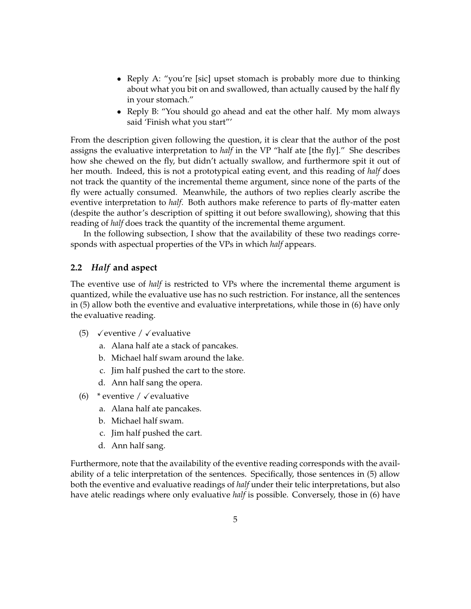- Reply A: "you're [sic] upset stomach is probably more due to thinking about what you bit on and swallowed, than actually caused by the half fly in your stomach."
- Reply B: "You should go ahead and eat the other half. My mom always said 'Finish what you start"'

From the description given following the question, it is clear that the author of the post assigns the evaluative interpretation to *half* in the VP "half ate [the fly]." She describes how she chewed on the fly, but didn't actually swallow, and furthermore spit it out of her mouth. Indeed, this is not a prototypical eating event, and this reading of *half* does not track the quantity of the incremental theme argument, since none of the parts of the fly were actually consumed. Meanwhile, the authors of two replies clearly ascribe the eventive interpretation to *half*. Both authors make reference to parts of fly-matter eaten (despite the author's description of spitting it out before swallowing), showing that this reading of *half* does track the quantity of the incremental theme argument.

In the following subsection, I show that the availability of these two readings corresponds with aspectual properties of the VPs in which *half* appears.

#### **2.2** *Half* **and aspect**

The eventive use of *half* is restricted to VPs where the incremental theme argument is quantized, while the evaluative use has no such restriction. For instance, all the sentences in (5) allow both the eventive and evaluative interpretations, while those in (6) have only the evaluative reading.

- (5)  $\checkmark$  eventive /  $\checkmark$  evaluative
	- a. Alana half ate a stack of pancakes.
	- b. Michael half swam around the lake.
	- c. Jim half pushed the cart to the store.
	- d. Ann half sang the opera.
- (6) \* eventive /  $\checkmark$  evaluative
	- a. Alana half ate pancakes.
	- b. Michael half swam.
	- c. Jim half pushed the cart.
	- d. Ann half sang.

Furthermore, note that the availability of the eventive reading corresponds with the availability of a telic interpretation of the sentences. Specifically, those sentences in (5) allow both the eventive and evaluative readings of *half* under their telic interpretations, but also have atelic readings where only evaluative *half* is possible. Conversely, those in (6) have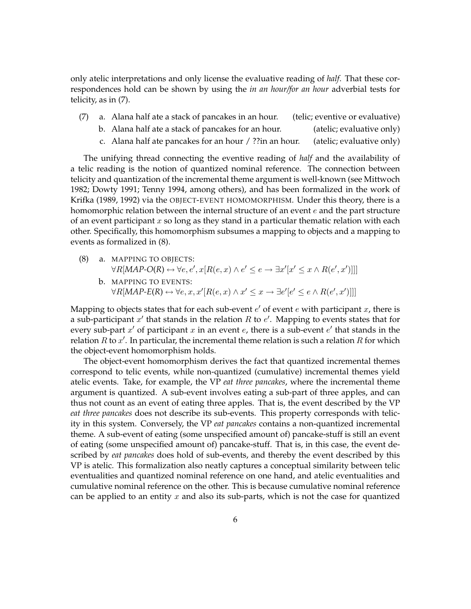only atelic interpretations and only license the evaluative reading of *half*. That these correspondences hold can be shown by using the *in an hour/for an hour* adverbial tests for telicity, as in (7).

- (7) a. Alana half ate a stack of pancakes in an hour. (telic; eventive or evaluative)
	- b. Alana half ate a stack of pancakes for an hour. (atelic; evaluative only)
	- c. Alana half ate pancakes for an hour / ??in an hour. (atelic; evaluative only)

The unifying thread connecting the eventive reading of *half* and the availability of a telic reading is the notion of quantized nominal reference. The connection between telicity and quantization of the incremental theme argument is well-known (see Mittwoch 1982; Dowty 1991; Tenny 1994, among others), and has been formalized in the work of Krifka (1989, 1992) via the OBJECT-EVENT HOMOMORPHISM. Under this theory, there is a homomorphic relation between the internal structure of an event  $e$  and the part structure of an event participant  $x$  so long as they stand in a particular thematic relation with each other. Specifically, this homomorphism subsumes a mapping to objects and a mapping to events as formalized in (8).

- (8) a. MAPPING TO OBJECTS:  $\forall R[MAP-O(R) \leftrightarrow \forall e, e', x[R(e,x) \land e' \leq e \rightarrow \exists x'[x' \leq x \land R(e',x')]]]$ 
	- b. MAPPING TO EVENTS:  $\forall R[MAP-E(R) \leftrightarrow \forall e, x, x'[R(e,x) \land x' \leq x \rightarrow \exists e'[e' \leq e \land R(e',x')]]]$

Mapping to objects states that for each sub-event  $e'$  of event  $e$  with participant  $x$ , there is a sub-participant  $x'$  that stands in the relation R to  $e'$ . Mapping to events states that for every sub-part  $x'$  of participant  $x$  in an event  $e$ , there is a sub-event  $e'$  that stands in the relation  $R$  to  $x'$ . In particular, the incremental theme relation is such a relation  $R$  for which the object-event homomorphism holds.

The object-event homomorphism derives the fact that quantized incremental themes correspond to telic events, while non-quantized (cumulative) incremental themes yield atelic events. Take, for example, the VP *eat three pancakes*, where the incremental theme argument is quantized. A sub-event involves eating a sub-part of three apples, and can thus not count as an event of eating three apples. That is, the event described by the VP *eat three pancakes* does not describe its sub-events. This property corresponds with telicity in this system. Conversely, the VP *eat pancakes* contains a non-quantized incremental theme. A sub-event of eating (some unspecified amount of) pancake-stuff is still an event of eating (some unspecified amount of) pancake-stuff. That is, in this case, the event described by *eat pancakes* does hold of sub-events, and thereby the event described by this VP is atelic. This formalization also neatly captures a conceptual similarity between telic eventualities and quantized nominal reference on one hand, and atelic eventualities and cumulative nominal reference on the other. This is because cumulative nominal reference can be applied to an entity  $x$  and also its sub-parts, which is not the case for quantized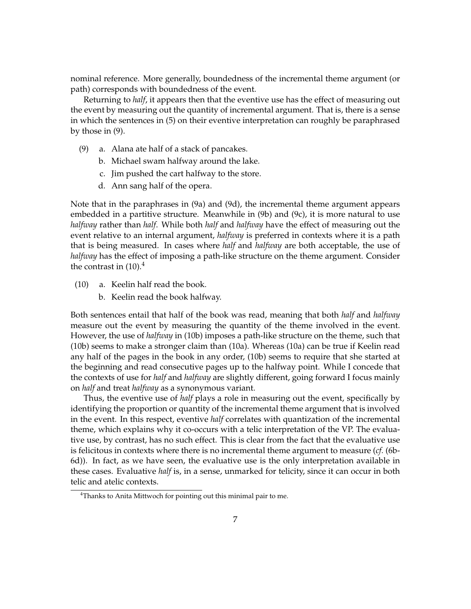nominal reference. More generally, boundedness of the incremental theme argument (or path) corresponds with boundedness of the event.

Returning to *half*, it appears then that the eventive use has the effect of measuring out the event by measuring out the quantity of incremental argument. That is, there is a sense in which the sentences in (5) on their eventive interpretation can roughly be paraphrased by those in (9).

- (9) a. Alana ate half of a stack of pancakes.
	- b. Michael swam halfway around the lake.
	- c. Jim pushed the cart halfway to the store.
	- d. Ann sang half of the opera.

Note that in the paraphrases in (9a) and (9d), the incremental theme argument appears embedded in a partitive structure. Meanwhile in (9b) and (9c), it is more natural to use *halfway* rather than *half*. While both *half* and *halfway* have the effect of measuring out the event relative to an internal argument, *halfway* is preferred in contexts where it is a path that is being measured. In cases where *half* and *halfway* are both acceptable, the use of *halfway* has the effect of imposing a path-like structure on the theme argument. Consider the contrast in  $(10).<sup>4</sup>$ 

- (10) a. Keelin half read the book.
	- b. Keelin read the book halfway.

Both sentences entail that half of the book was read, meaning that both *half* and *halfway* measure out the event by measuring the quantity of the theme involved in the event. However, the use of *halfway* in (10b) imposes a path-like structure on the theme, such that (10b) seems to make a stronger claim than (10a). Whereas (10a) can be true if Keelin read any half of the pages in the book in any order, (10b) seems to require that she started at the beginning and read consecutive pages up to the halfway point. While I concede that the contexts of use for *half* and *halfway* are slightly different, going forward I focus mainly on *half* and treat *halfway* as a synonymous variant.

Thus, the eventive use of *half* plays a role in measuring out the event, specifically by identifying the proportion or quantity of the incremental theme argument that is involved in the event. In this respect, eventive *half* correlates with quantization of the incremental theme, which explains why it co-occurs with a telic interpretation of the VP. The evaluative use, by contrast, has no such effect. This is clear from the fact that the evaluative use is felicitous in contexts where there is no incremental theme argument to measure (*cf.* (6b-6d)). In fact, as we have seen, the evaluative use is the only interpretation available in these cases. Evaluative *half* is, in a sense, unmarked for telicity, since it can occur in both telic and atelic contexts.

<sup>&</sup>lt;sup>4</sup>Thanks to Anita Mittwoch for pointing out this minimal pair to me.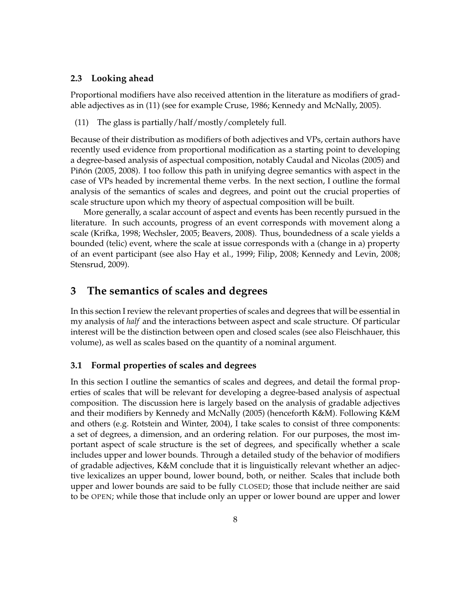### **2.3 Looking ahead**

Proportional modifiers have also received attention in the literature as modifiers of gradable adjectives as in (11) (see for example Cruse, 1986; Kennedy and McNally, 2005).

(11) The glass is partially/half/mostly/completely full.

Because of their distribution as modifiers of both adjectives and VPs, certain authors have recently used evidence from proportional modification as a starting point to developing a degree-based analysis of aspectual composition, notably Caudal and Nicolas (2005) and Piñón (2005, 2008). I too follow this path in unifying degree semantics with aspect in the case of VPs headed by incremental theme verbs. In the next section, I outline the formal analysis of the semantics of scales and degrees, and point out the crucial properties of scale structure upon which my theory of aspectual composition will be built.

More generally, a scalar account of aspect and events has been recently pursued in the literature. In such accounts, progress of an event corresponds with movement along a scale (Krifka, 1998; Wechsler, 2005; Beavers, 2008). Thus, boundedness of a scale yields a bounded (telic) event, where the scale at issue corresponds with a (change in a) property of an event participant (see also Hay et al., 1999; Filip, 2008; Kennedy and Levin, 2008; Stensrud, 2009).

### **3 The semantics of scales and degrees**

In this section I review the relevant properties of scales and degrees that will be essential in my analysis of *half* and the interactions between aspect and scale structure. Of particular interest will be the distinction between open and closed scales (see also Fleischhauer, this volume), as well as scales based on the quantity of a nominal argument.

#### **3.1 Formal properties of scales and degrees**

In this section I outline the semantics of scales and degrees, and detail the formal properties of scales that will be relevant for developing a degree-based analysis of aspectual composition. The discussion here is largely based on the analysis of gradable adjectives and their modifiers by Kennedy and McNally (2005) (henceforth K&M). Following K&M and others (e.g. Rotstein and Winter, 2004), I take scales to consist of three components: a set of degrees, a dimension, and an ordering relation. For our purposes, the most important aspect of scale structure is the set of degrees, and specifically whether a scale includes upper and lower bounds. Through a detailed study of the behavior of modifiers of gradable adjectives, K&M conclude that it is linguistically relevant whether an adjective lexicalizes an upper bound, lower bound, both, or neither. Scales that include both upper and lower bounds are said to be fully CLOSED; those that include neither are said to be OPEN; while those that include only an upper or lower bound are upper and lower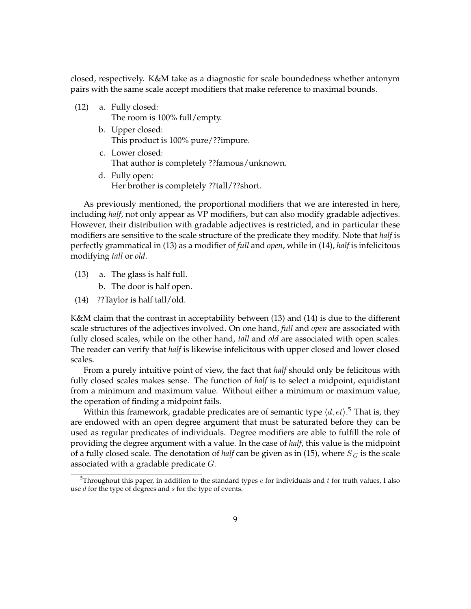closed, respectively. K&M take as a diagnostic for scale boundedness whether antonym pairs with the same scale accept modifiers that make reference to maximal bounds.

- (12) a. Fully closed: The room is 100% full/empty.
	- b. Upper closed: This product is 100% pure/??impure.
	- c. Lower closed: That author is completely ??famous/unknown.
	- d. Fully open: Her brother is completely ??tall/??short.

As previously mentioned, the proportional modifiers that we are interested in here, including *half*, not only appear as VP modifiers, but can also modify gradable adjectives. However, their distribution with gradable adjectives is restricted, and in particular these modifiers are sensitive to the scale structure of the predicate they modify. Note that *half* is perfectly grammatical in (13) as a modifier of *full* and *open*, while in (14), *half* is infelicitous modifying *tall* or *old*.

- (13) a. The glass is half full.
	- b. The door is half open.
- (14) ??Taylor is half tall/old.

K&M claim that the contrast in acceptability between (13) and (14) is due to the different scale structures of the adjectives involved. On one hand, *full* and *open* are associated with fully closed scales, while on the other hand, *tall* and *old* are associated with open scales. The reader can verify that *half* is likewise infelicitous with upper closed and lower closed scales.

From a purely intuitive point of view, the fact that *half* should only be felicitous with fully closed scales makes sense. The function of *half* is to select a midpoint, equidistant from a minimum and maximum value. Without either a minimum or maximum value, the operation of finding a midpoint fails.

Within this framework, gradable predicates are of semantic type  $\langle d, et \rangle.$   $^5$  That is, they are endowed with an open degree argument that must be saturated before they can be used as regular predicates of individuals. Degree modifiers are able to fulfill the role of providing the degree argument with a value. In the case of *half*, this value is the midpoint of a fully closed scale. The denotation of *half* can be given as in (15), where  $S_G$  is the scale associated with a gradable predicate G.

<sup>&</sup>lt;sup>5</sup>Throughout this paper, in addition to the standard types  $e$  for individuals and t for truth values, I also use  $d$  for the type of degrees and  $s$  for the type of events.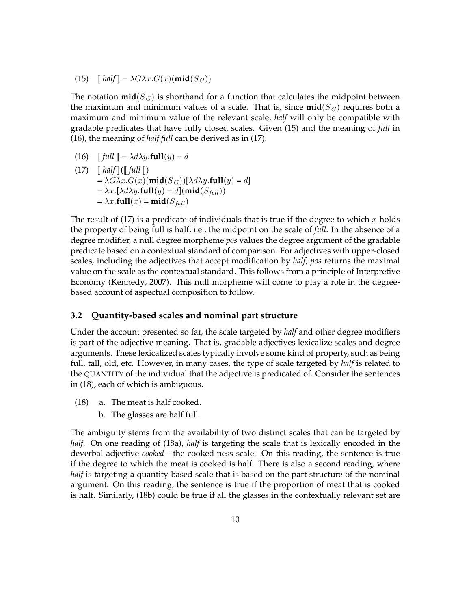(15)  $\parallel$  *half*  $\parallel$  =  $\lambda G \lambda x.G(x)(\text{mid}(S_G))$ 

The notation  $mid(S_G)$  is shorthand for a function that calculates the midpoint between the maximum and minimum values of a scale. That is, since  $mid(S_G)$  requires both a maximum and minimum value of the relevant scale, *half* will only be compatible with gradable predicates that have fully closed scales. Given (15) and the meaning of *full* in (16), the meaning of *half full* can be derived as in (17).

(16)  $\int full \, \mathbf{r} = \lambda d\lambda y \cdot \mathbf{full}(y) = d$ 

(17) 
$$
\llbracket \text{half} \rrbracket (\llbracket \text{full} \rrbracket)
$$

$$
= \lambda G \lambda x. G(x) (\text{mid}(S_G)) [\lambda d \lambda y. \text{full}(y) = d]
$$

$$
= \lambda x. [\lambda d \lambda y. \text{full}(y) = d] (\text{mid}(S_{\text{full}}))
$$

$$
= \lambda x. \text{full}(x) = \text{mid}(S_{\text{full}})
$$

The result of  $(17)$  is a predicate of individuals that is true if the degree to which x holds the property of being full is half, i.e., the midpoint on the scale of *full*. In the absence of a degree modifier, a null degree morpheme *pos* values the degree argument of the gradable predicate based on a contextual standard of comparison. For adjectives with upper-closed scales, including the adjectives that accept modification by *half*, *pos* returns the maximal value on the scale as the contextual standard. This follows from a principle of Interpretive Economy (Kennedy, 2007). This null morpheme will come to play a role in the degreebased account of aspectual composition to follow.

#### **3.2 Quantity-based scales and nominal part structure**

Under the account presented so far, the scale targeted by *half* and other degree modifiers is part of the adjective meaning. That is, gradable adjectives lexicalize scales and degree arguments. These lexicalized scales typically involve some kind of property, such as being full, tall, old, etc. However, in many cases, the type of scale targeted by *half* is related to the QUANTITY of the individual that the adjective is predicated of. Consider the sentences in (18), each of which is ambiguous.

- (18) a. The meat is half cooked.
	- b. The glasses are half full.

The ambiguity stems from the availability of two distinct scales that can be targeted by *half*. On one reading of (18a), *half* is targeting the scale that is lexically encoded in the deverbal adjective *cooked* - the cooked-ness scale. On this reading, the sentence is true if the degree to which the meat is cooked is half. There is also a second reading, where *half* is targeting a quantity-based scale that is based on the part structure of the nominal argument. On this reading, the sentence is true if the proportion of meat that is cooked is half. Similarly, (18b) could be true if all the glasses in the contextually relevant set are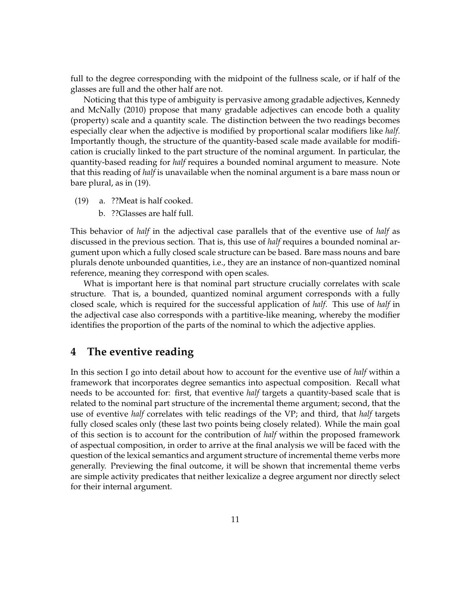full to the degree corresponding with the midpoint of the fullness scale, or if half of the glasses are full and the other half are not.

Noticing that this type of ambiguity is pervasive among gradable adjectives, Kennedy and McNally (2010) propose that many gradable adjectives can encode both a quality (property) scale and a quantity scale. The distinction between the two readings becomes especially clear when the adjective is modified by proportional scalar modifiers like *half*. Importantly though, the structure of the quantity-based scale made available for modification is crucially linked to the part structure of the nominal argument. In particular, the quantity-based reading for *half* requires a bounded nominal argument to measure. Note that this reading of *half* is unavailable when the nominal argument is a bare mass noun or bare plural, as in (19).

- (19) a. ??Meat is half cooked.
	- b. ??Glasses are half full.

This behavior of *half* in the adjectival case parallels that of the eventive use of *half* as discussed in the previous section. That is, this use of *half* requires a bounded nominal argument upon which a fully closed scale structure can be based. Bare mass nouns and bare plurals denote unbounded quantities, i.e., they are an instance of non-quantized nominal reference, meaning they correspond with open scales.

What is important here is that nominal part structure crucially correlates with scale structure. That is, a bounded, quantized nominal argument corresponds with a fully closed scale, which is required for the successful application of *half*. This use of *half* in the adjectival case also corresponds with a partitive-like meaning, whereby the modifier identifies the proportion of the parts of the nominal to which the adjective applies.

### **4 The eventive reading**

In this section I go into detail about how to account for the eventive use of *half* within a framework that incorporates degree semantics into aspectual composition. Recall what needs to be accounted for: first, that eventive *half* targets a quantity-based scale that is related to the nominal part structure of the incremental theme argument; second, that the use of eventive *half* correlates with telic readings of the VP; and third, that *half* targets fully closed scales only (these last two points being closely related). While the main goal of this section is to account for the contribution of *half* within the proposed framework of aspectual composition, in order to arrive at the final analysis we will be faced with the question of the lexical semantics and argument structure of incremental theme verbs more generally. Previewing the final outcome, it will be shown that incremental theme verbs are simple activity predicates that neither lexicalize a degree argument nor directly select for their internal argument.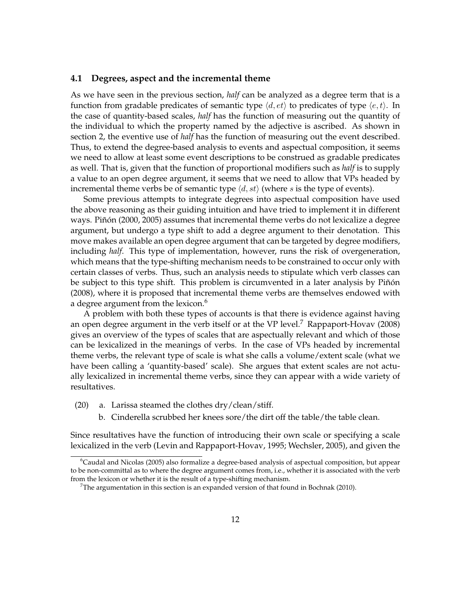#### **4.1 Degrees, aspect and the incremental theme**

As we have seen in the previous section, *half* can be analyzed as a degree term that is a function from gradable predicates of semantic type  $\langle d, \epsilon t \rangle$  to predicates of type  $\langle e, t \rangle$ . In the case of quantity-based scales, *half* has the function of measuring out the quantity of the individual to which the property named by the adjective is ascribed. As shown in section 2, the eventive use of *half* has the function of measuring out the event described. Thus, to extend the degree-based analysis to events and aspectual composition, it seems we need to allow at least some event descriptions to be construed as gradable predicates as well. That is, given that the function of proportional modifiers such as *half* is to supply a value to an open degree argument, it seems that we need to allow that VPs headed by incremental theme verbs be of semantic type  $\langle d, st \rangle$  (where s is the type of events).

Some previous attempts to integrate degrees into aspectual composition have used the above reasoning as their guiding intuition and have tried to implement it in different ways. Piñón (2000, 2005) assumes that incremental theme verbs do not lexicalize a degree argument, but undergo a type shift to add a degree argument to their denotation. This move makes available an open degree argument that can be targeted by degree modifiers, including *half*. This type of implementation, however, runs the risk of overgeneration, which means that the type-shifting mechanism needs to be constrained to occur only with certain classes of verbs. Thus, such an analysis needs to stipulate which verb classes can be subject to this type shift. This problem is circumvented in a later analysis by Piñón (2008), where it is proposed that incremental theme verbs are themselves endowed with a degree argument from the lexicon.<sup>6</sup>

A problem with both these types of accounts is that there is evidence against having an open degree argument in the verb itself or at the VP level.<sup>7</sup> Rappaport-Hovav (2008) gives an overview of the types of scales that are aspectually relevant and which of those can be lexicalized in the meanings of verbs. In the case of VPs headed by incremental theme verbs, the relevant type of scale is what she calls a volume/extent scale (what we have been calling a 'quantity-based' scale). She argues that extent scales are not actually lexicalized in incremental theme verbs, since they can appear with a wide variety of resultatives.

- (20) a. Larissa steamed the clothes dry/clean/stiff.
	- b. Cinderella scrubbed her knees sore/the dirt off the table/the table clean.

Since resultatives have the function of introducing their own scale or specifying a scale lexicalized in the verb (Levin and Rappaport-Hovav, 1995; Wechsler, 2005), and given the

 $6C$ audal and Nicolas (2005) also formalize a degree-based analysis of aspectual composition, but appear to be non-committal as to where the degree argument comes from, i.e., whether it is associated with the verb from the lexicon or whether it is the result of a type-shifting mechanism.

<sup>&</sup>lt;sup>7</sup>The argumentation in this section is an expanded version of that found in Bochnak (2010).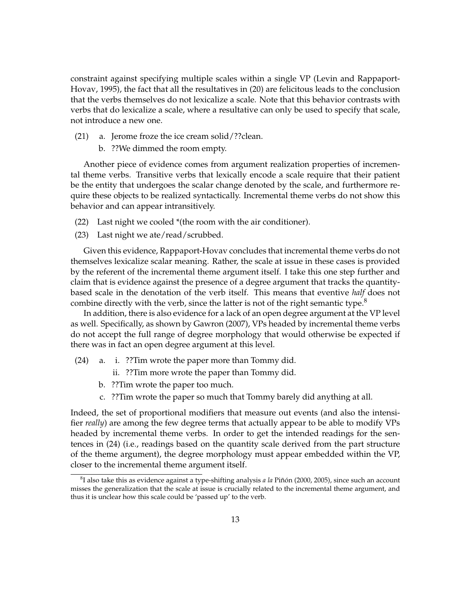constraint against specifying multiple scales within a single VP (Levin and Rappaport-Hovav, 1995), the fact that all the resultatives in (20) are felicitous leads to the conclusion that the verbs themselves do not lexicalize a scale. Note that this behavior contrasts with verbs that do lexicalize a scale, where a resultative can only be used to specify that scale, not introduce a new one.

- (21) a. Jerome froze the ice cream solid/??clean.
	- b. ??We dimmed the room empty.

Another piece of evidence comes from argument realization properties of incremental theme verbs. Transitive verbs that lexically encode a scale require that their patient be the entity that undergoes the scalar change denoted by the scale, and furthermore require these objects to be realized syntactically. Incremental theme verbs do not show this behavior and can appear intransitively.

- (22) Last night we cooled \*(the room with the air conditioner).
- (23) Last night we ate/read/scrubbed.

Given this evidence, Rappaport-Hovav concludes that incremental theme verbs do not themselves lexicalize scalar meaning. Rather, the scale at issue in these cases is provided by the referent of the incremental theme argument itself. I take this one step further and claim that is evidence against the presence of a degree argument that tracks the quantitybased scale in the denotation of the verb itself. This means that eventive *half* does not combine directly with the verb, since the latter is not of the right semantic type.<sup>8</sup>

In addition, there is also evidence for a lack of an open degree argument at the VP level as well. Specifically, as shown by Gawron (2007), VPs headed by incremental theme verbs do not accept the full range of degree morphology that would otherwise be expected if there was in fact an open degree argument at this level.

- (24) a. i. ??Tim wrote the paper more than Tommy did.
	- ii. ??Tim more wrote the paper than Tommy did.
	- b. ??Tim wrote the paper too much.
	- c. ??Tim wrote the paper so much that Tommy barely did anything at all.

Indeed, the set of proportional modifiers that measure out events (and also the intensifier *really*) are among the few degree terms that actually appear to be able to modify VPs headed by incremental theme verbs. In order to get the intended readings for the sentences in (24) (i.e., readings based on the quantity scale derived from the part structure of the theme argument), the degree morphology must appear embedded within the VP, closer to the incremental theme argument itself.

 ${}^{8}$ I also take this as evidence against a type-shifting analysis *a la* Piñón (2000, 2005), since such an account misses the generalization that the scale at issue is crucially related to the incremental theme argument, and thus it is unclear how this scale could be 'passed up' to the verb.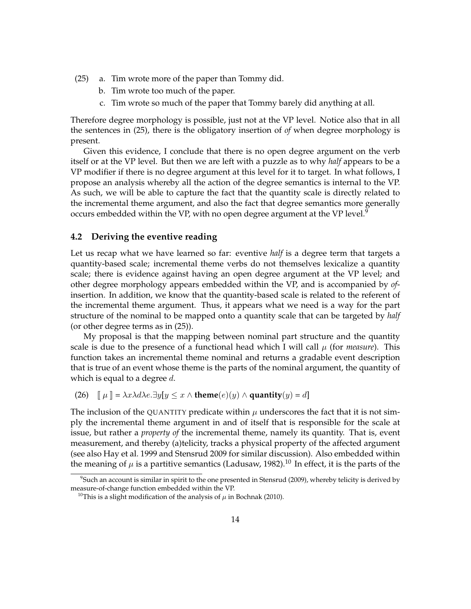- (25) a. Tim wrote more of the paper than Tommy did.
	- b. Tim wrote too much of the paper.
	- c. Tim wrote so much of the paper that Tommy barely did anything at all.

Therefore degree morphology is possible, just not at the VP level. Notice also that in all the sentences in (25), there is the obligatory insertion of *of* when degree morphology is present.

Given this evidence, I conclude that there is no open degree argument on the verb itself or at the VP level. But then we are left with a puzzle as to why *half* appears to be a VP modifier if there is no degree argument at this level for it to target. In what follows, I propose an analysis whereby all the action of the degree semantics is internal to the VP. As such, we will be able to capture the fact that the quantity scale is directly related to the incremental theme argument, and also the fact that degree semantics more generally occurs embedded within the VP, with no open degree argument at the VP level.<sup>9</sup>

#### **4.2 Deriving the eventive reading**

Let us recap what we have learned so far: eventive *half* is a degree term that targets a quantity-based scale; incremental theme verbs do not themselves lexicalize a quantity scale; there is evidence against having an open degree argument at the VP level; and other degree morphology appears embedded within the VP, and is accompanied by *of*insertion. In addition, we know that the quantity-based scale is related to the referent of the incremental theme argument. Thus, it appears what we need is a way for the part structure of the nominal to be mapped onto a quantity scale that can be targeted by *half* (or other degree terms as in (25)).

My proposal is that the mapping between nominal part structure and the quantity scale is due to the presence of a functional head which I will call  $\mu$  (for *measure*). This function takes an incremental theme nominal and returns a gradable event description that is true of an event whose theme is the parts of the nominal argument, the quantity of which is equal to a degree  $d$ .

(26)  $\llbracket \mu \rrbracket = \lambda x \lambda d \lambda e. \exists y [y \leq x \wedge \text{ theme}(e)(y) \wedge \text{quantity}(y) = d]$ 

The inclusion of the QUANTITY predicate within  $\mu$  underscores the fact that it is not simply the incremental theme argument in and of itself that is responsible for the scale at issue, but rather a *property of* the incremental theme, namely its quantity. That is, event measurement, and thereby (a)telicity, tracks a physical property of the affected argument (see also Hay et al. 1999 and Stensrud 2009 for similar discussion). Also embedded within the meaning of  $\mu$  is a partitive semantics (Ladusaw, 1982).<sup>10</sup> In effect, it is the parts of the

 $^9$ Such an account is similar in spirit to the one presented in Stensrud (2009), whereby telicity is derived by measure-of-change function embedded within the VP.

<sup>&</sup>lt;sup>10</sup>This is a slight modification of the analysis of  $\mu$  in Bochnak (2010).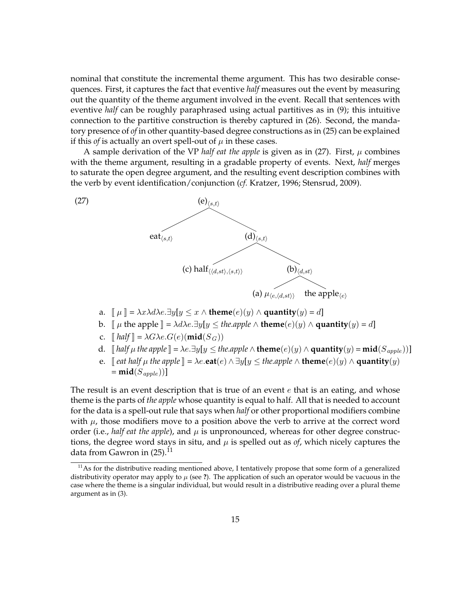nominal that constitute the incremental theme argument. This has two desirable consequences. First, it captures the fact that eventive *half* measures out the event by measuring out the quantity of the theme argument involved in the event. Recall that sentences with eventive *half* can be roughly paraphrased using actual partitives as in (9); this intuitive connection to the partitive construction is thereby captured in (26). Second, the mandatory presence of *of* in other quantity-based degree constructions as in (25) can be explained if this *of* is actually an overt spell-out of  $\mu$  in these cases.

A sample derivation of the VP *half eat the apple* is given as in  $(27)$ . First,  $\mu$  combines with the theme argument, resulting in a gradable property of events. Next, *half* merges to saturate the open degree argument, and the resulting event description combines with the verb by event identification/conjunction (*cf.* Kratzer, 1996; Stensrud, 2009).



- a.  $\llbracket \mu \rrbracket = \lambda x \lambda d\lambda e. \exists y[y \leq x \land \textbf{theme}(e)(y) \land \textbf{quantity}(y) = d]$
- b.  $\llbracket \mu$  the apple  $\llbracket = \lambda d\lambda e. \exists y[y \leq the \text{.apple} \land \text{ theme}(e)(y) \land \text{quantity}(y) = d\rrbracket$
- c.  $\llbracket \hat{half} \rrbracket = \lambda G \lambda e. G(e) (\text{mid}(S_G))$
- d.  $\left[ \text{half } \mu \text{ the apple } \right] = \lambda e. \exists y [y \leq \text{the apple} \wedge \text{ theme}(e)(y) \wedge \text{quantity}(y) = \text{mid}(S_{apple})) \right]$
- e.  $\parallel$  *eat half*  $\mu$  *the apple*  $\parallel$  =  $\lambda e$ **.eat**( $e$ ) ∧  $\exists y[y \leq$  *the.apple* ∧ **theme**( $e$ )( $y$ ) ∧ **quantity**( $y$ )  $= mid(S_{\text{apple}}))]$

The result is an event description that is true of an event  $e$  that is an eating, and whose theme is the parts of *the apple* whose quantity is equal to half. All that is needed to account for the data is a spell-out rule that says when *half* or other proportional modifiers combine with  $\mu$ , those modifiers move to a position above the verb to arrive at the correct word order (i.e., *half eat the apple*), and  $\mu$  is unpronounced, whereas for other degree constructions, the degree word stays in situ, and  $\mu$  is spelled out as *of*, which nicely captures the data from Gawron in  $(25).^{11}$ 

 $11$ As for the distributive reading mentioned above, I tentatively propose that some form of a generalized distributivity operator may apply to  $\mu$  (see ?). The application of such an operator would be vacuous in the case where the theme is a singular individual, but would result in a distributive reading over a plural theme argument as in (3).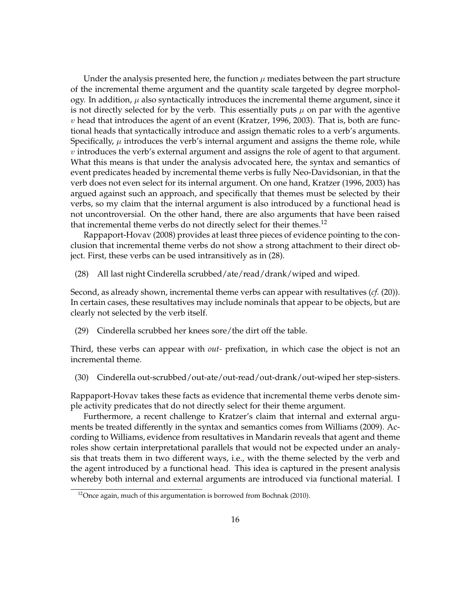Under the analysis presented here, the function  $\mu$  mediates between the part structure of the incremental theme argument and the quantity scale targeted by degree morphology. In addition,  $\mu$  also syntactically introduces the incremental theme argument, since it is not directly selected for by the verb. This essentially puts  $\mu$  on par with the agentive  $v$  head that introduces the agent of an event (Kratzer, 1996, 2003). That is, both are functional heads that syntactically introduce and assign thematic roles to a verb's arguments. Specifically,  $\mu$  introduces the verb's internal argument and assigns the theme role, while  $v$  introduces the verb's external argument and assigns the role of agent to that argument. What this means is that under the analysis advocated here, the syntax and semantics of event predicates headed by incremental theme verbs is fully Neo-Davidsonian, in that the verb does not even select for its internal argument. On one hand, Kratzer (1996, 2003) has argued against such an approach, and specifically that themes must be selected by their verbs, so my claim that the internal argument is also introduced by a functional head is not uncontroversial. On the other hand, there are also arguments that have been raised that incremental theme verbs do not directly select for their themes.<sup>12</sup>

Rappaport-Hovav (2008) provides at least three pieces of evidence pointing to the conclusion that incremental theme verbs do not show a strong attachment to their direct object. First, these verbs can be used intransitively as in (28).

(28) All last night Cinderella scrubbed/ate/read/drank/wiped and wiped.

Second, as already shown, incremental theme verbs can appear with resultatives (*cf.* (20)). In certain cases, these resultatives may include nominals that appear to be objects, but are clearly not selected by the verb itself.

(29) Cinderella scrubbed her knees sore/the dirt off the table.

Third, these verbs can appear with *out-* prefixation, in which case the object is not an incremental theme.

(30) Cinderella out-scrubbed/out-ate/out-read/out-drank/out-wiped her step-sisters.

Rappaport-Hovav takes these facts as evidence that incremental theme verbs denote simple activity predicates that do not directly select for their theme argument.

Furthermore, a recent challenge to Kratzer's claim that internal and external arguments be treated differently in the syntax and semantics comes from Williams (2009). According to Williams, evidence from resultatives in Mandarin reveals that agent and theme roles show certain interpretational parallels that would not be expected under an analysis that treats them in two different ways, i.e., with the theme selected by the verb and the agent introduced by a functional head. This idea is captured in the present analysis whereby both internal and external arguments are introduced via functional material. I

 $12$ Once again, much of this argumentation is borrowed from Bochnak (2010).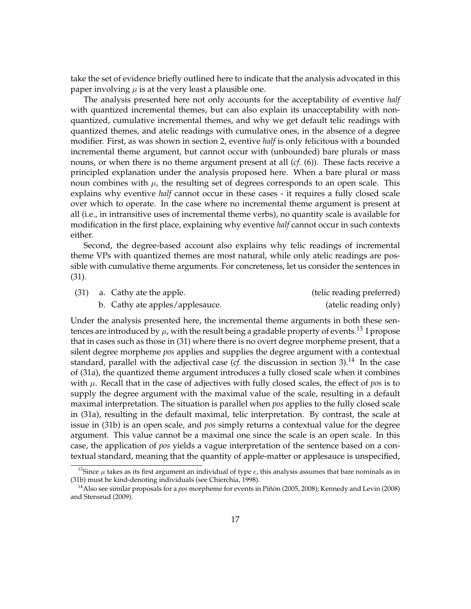take the set of evidence briefly outlined here to indicate that the analysis advocated in this paper involving  $\mu$  is at the very least a plausible one.

The analysis presented here not only accounts for the acceptability of eventive *half* with quantized incremental themes, but can also explain its unacceptability with nonquantized, cumulative incremental themes, and why we get default telic readings with quantized themes, and atelic readings with cumulative ones, in the absence of a degree modifier. First, as was shown in section 2, eventive *half* is only felicitous with a bounded incremental theme argument, but cannot occur with (unbounded) bare plurals or mass nouns, or when there is no theme argument present at all (*cf.* (6)). These facts receive a principled explanation under the analysis proposed here. When a bare plural or mass noun combines with  $\mu$ , the resulting set of degrees corresponds to an open scale. This explains why eventive *half* cannot occur in these cases - it requires a fully closed scale over which to operate. In the case where no incremental theme argument is present at all (i.e., in intransitive uses of incremental theme verbs), no quantity scale is available for modification in the first place, explaining why eventive *half* cannot occur in such contexts either.

Second, the degree-based account also explains why telic readings of incremental theme VPs with quantized themes are most natural, while only atelic readings are possible with cumulative theme arguments. For concreteness, let us consider the sentences in (31).

| $(31)$ a. Cathy ate the apple.  | (telic reading preferred) |
|---------------------------------|---------------------------|
| b. Cathy ate apples/applesauce. | (atelic reading only)     |

Under the analysis presented here, the incremental theme arguments in both these sentences are introduced by  $\mu$ , with the result being a gradable property of events.<sup>13</sup> I propose that in cases such as those in (31) where there is no overt degree morpheme present, that a silent degree morpheme *pos* applies and supplies the degree argument with a contextual standard, parallel with the adjectival case (*cf.* the discussion in section 3).<sup>14</sup> In the case of (31a), the quantized theme argument introduces a fully closed scale when it combines with  $\mu$ . Recall that in the case of adjectives with fully closed scales, the effect of *pos* is to supply the degree argument with the maximal value of the scale, resulting in a default maximal interpretation. The situation is parallel when *pos* applies to the fully closed scale in (31a), resulting in the default maximal, telic interpretation. By contrast, the scale at issue in (31b) is an open scale, and *pos* simply returns a contextual value for the degree argument. This value cannot be a maximal one since the scale is an open scale. In this case, the application of *pos* yields a vague interpretation of the sentence based on a contextual standard, meaning that the quantity of apple-matter or applesauce is unspecified,

<sup>&</sup>lt;sup>13</sup>Since  $\mu$  takes as its first argument an individual of type  $e$ , this analysis assumes that bare nominals as in (31b) must be kind-denoting individuals (see Chierchia, 1998).

<sup>&</sup>lt;sup>14</sup>Also see similar proposals for a *pos* morpheme for events in Piñón (2005, 2008); Kennedy and Levin (2008) and Stensrud (2009).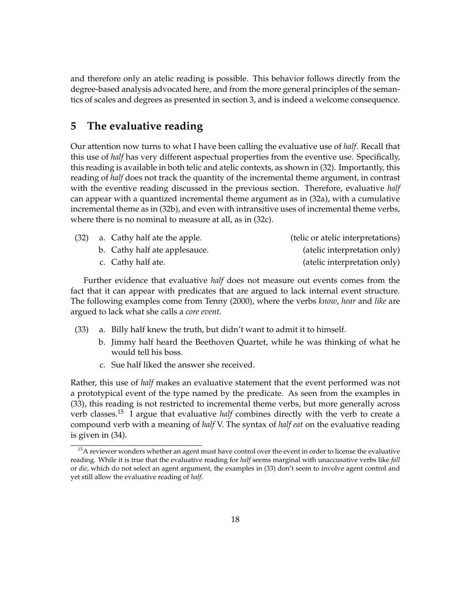and therefore only an atelic reading is possible. This behavior follows directly from the degree-based analysis advocated here, and from the more general principles of the semantics of scales and degrees as presented in section 3, and is indeed a welcome consequence.

## **5 The evaluative reading**

Our attention now turns to what I have been calling the evaluative use of *half*. Recall that this use of *half* has very different aspectual properties from the eventive use. Specifically, this reading is available in both telic and atelic contexts, as shown in (32). Importantly, this reading of *half* does not track the quantity of the incremental theme argument, in contrast with the eventive reading discussed in the previous section. Therefore, evaluative *half* can appear with a quantized incremental theme argument as in (32a), with a cumulative incremental theme as in (32b), and even with intransitive uses of incremental theme verbs, where there is no nominal to measure at all, as in (32c).

| (32) | a. Cathy half ate the apple.  | (telic or atelic interpretations) |
|------|-------------------------------|-----------------------------------|
|      | b. Cathy half ate applesauce. | (atelic interpretation only)      |
|      | c. Cathy half ate.            | (atelic interpretation only)      |

Further evidence that evaluative *half* does not measure out events comes from the fact that it can appear with predicates that are argued to lack internal event structure. The following examples come from Tenny (2000), where the verbs *know*, *hear* and *like* are argued to lack what she calls a *core event*.

- (33) a. Billy half knew the truth, but didn't want to admit it to himself.
	- b. Jimmy half heard the Beethoven Quartet, while he was thinking of what he would tell his boss.
	- c. Sue half liked the answer she received.

Rather, this use of *half* makes an evaluative statement that the event performed was not a prototypical event of the type named by the predicate. As seen from the examples in (33), this reading is not restricted to incremental theme verbs, but more generally across verb classes.<sup>15</sup> I argue that evaluative *half* combines directly with the verb to create a compound verb with a meaning of *half* V. The syntax of *half eat* on the evaluative reading is given in (34).

<sup>&</sup>lt;sup>15</sup>A reviewer wonders whether an agent must have control over the event in order to license the evaluative reading. While it is true that the evaluative reading for *half* seems marginal with unaccusative verbs like *fall* or *die*, which do not select an agent argument, the examples in (33) don't seem to involve agent control and yet still allow the evaluative reading of *half*.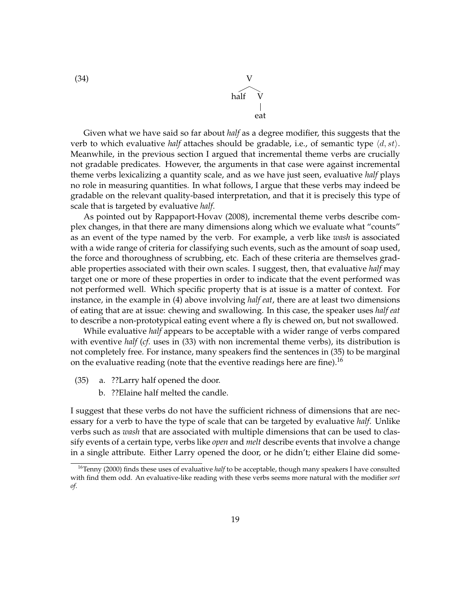

Given what we have said so far about *half* as a degree modifier, this suggests that the verb to which evaluative *half* attaches should be gradable, i.e., of semantic type  $\langle d, st \rangle$ . Meanwhile, in the previous section I argued that incremental theme verbs are crucially not gradable predicates. However, the arguments in that case were against incremental theme verbs lexicalizing a quantity scale, and as we have just seen, evaluative *half* plays no role in measuring quantities. In what follows, I argue that these verbs may indeed be gradable on the relevant quality-based interpretation, and that it is precisely this type of scale that is targeted by evaluative *half*.

As pointed out by Rappaport-Hovav (2008), incremental theme verbs describe complex changes, in that there are many dimensions along which we evaluate what "counts" as an event of the type named by the verb. For example, a verb like *wash* is associated with a wide range of criteria for classifying such events, such as the amount of soap used, the force and thoroughness of scrubbing, etc. Each of these criteria are themselves gradable properties associated with their own scales. I suggest, then, that evaluative *half* may target one or more of these properties in order to indicate that the event performed was not performed well. Which specific property that is at issue is a matter of context. For instance, in the example in (4) above involving *half eat*, there are at least two dimensions of eating that are at issue: chewing and swallowing. In this case, the speaker uses *half eat* to describe a non-prototypical eating event where a fly is chewed on, but not swallowed.

While evaluative *half* appears to be acceptable with a wider range of verbs compared with eventive *half* (*cf.* uses in (33) with non incremental theme verbs), its distribution is not completely free. For instance, many speakers find the sentences in (35) to be marginal on the evaluative reading (note that the eventive readings here are fine).<sup>16</sup>

- (35) a. ??Larry half opened the door.
	- b. ??Elaine half melted the candle.

I suggest that these verbs do not have the sufficient richness of dimensions that are necessary for a verb to have the type of scale that can be targeted by evaluative *half*. Unlike verbs such as *wash* that are associated with multiple dimensions that can be used to classify events of a certain type, verbs like *open* and *melt* describe events that involve a change in a single attribute. Either Larry opened the door, or he didn't; either Elaine did some-

<sup>16</sup>Tenny (2000) finds these uses of evaluative *half* to be acceptable, though many speakers I have consulted with find them odd. An evaluative-like reading with these verbs seems more natural with the modifier *sort of*.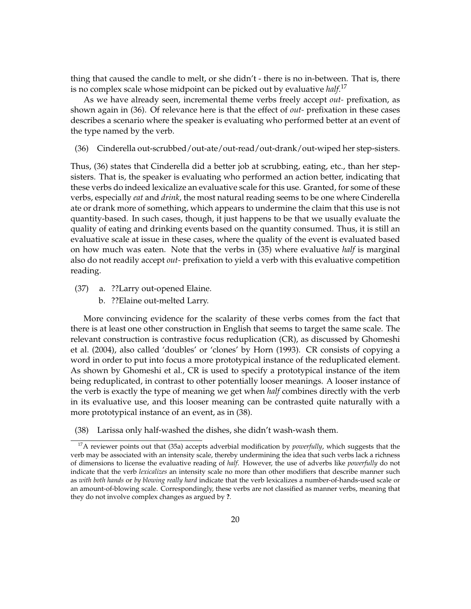thing that caused the candle to melt, or she didn't - there is no in-between. That is, there is no complex scale whose midpoint can be picked out by evaluative *half*. 17

As we have already seen, incremental theme verbs freely accept *out-* prefixation, as shown again in (36). Of relevance here is that the effect of *out-* prefixation in these cases describes a scenario where the speaker is evaluating who performed better at an event of the type named by the verb.

(36) Cinderella out-scrubbed/out-ate/out-read/out-drank/out-wiped her step-sisters.

Thus, (36) states that Cinderella did a better job at scrubbing, eating, etc., than her stepsisters. That is, the speaker is evaluating who performed an action better, indicating that these verbs do indeed lexicalize an evaluative scale for this use. Granted, for some of these verbs, especially *eat* and *drink*, the most natural reading seems to be one where Cinderella ate or drank more of something, which appears to undermine the claim that this use is not quantity-based. In such cases, though, it just happens to be that we usually evaluate the quality of eating and drinking events based on the quantity consumed. Thus, it is still an evaluative scale at issue in these cases, where the quality of the event is evaluated based on how much was eaten. Note that the verbs in (35) where evaluative *half* is marginal also do not readily accept *out-* prefixation to yield a verb with this evaluative competition reading.

- (37) a. ??Larry out-opened Elaine.
	- b. ??Elaine out-melted Larry.

More convincing evidence for the scalarity of these verbs comes from the fact that there is at least one other construction in English that seems to target the same scale. The relevant construction is contrastive focus reduplication (CR), as discussed by Ghomeshi et al. (2004), also called 'doubles' or 'clones' by Horn (1993). CR consists of copying a word in order to put into focus a more prototypical instance of the reduplicated element. As shown by Ghomeshi et al., CR is used to specify a prototypical instance of the item being reduplicated, in contrast to other potentially looser meanings. A looser instance of the verb is exactly the type of meaning we get when *half* combines directly with the verb in its evaluative use, and this looser meaning can be contrasted quite naturally with a more prototypical instance of an event, as in (38).

(38) Larissa only half-washed the dishes, she didn't wash-wash them.

<sup>17</sup>A reviewer points out that (35a) accepts adverbial modification by *powerfully*, which suggests that the verb may be associated with an intensity scale, thereby undermining the idea that such verbs lack a richness of dimensions to license the evaluative reading of *half*. However, the use of adverbs like *powerfully* do not indicate that the verb *lexicalizes* an intensity scale no more than other modifiers that describe manner such as *with both hands* or *by blowing really hard* indicate that the verb lexicalizes a number-of-hands-used scale or an amount-of-blowing scale. Correspondingly, these verbs are not classified as manner verbs, meaning that they do not involve complex changes as argued by **?**.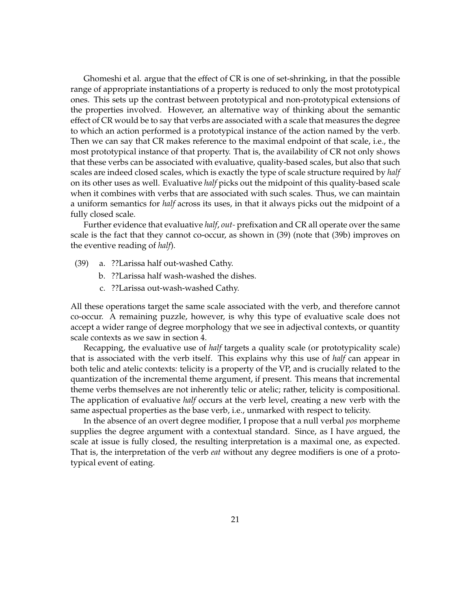Ghomeshi et al. argue that the effect of CR is one of set-shrinking, in that the possible range of appropriate instantiations of a property is reduced to only the most prototypical ones. This sets up the contrast between prototypical and non-prototypical extensions of the properties involved. However, an alternative way of thinking about the semantic effect of CR would be to say that verbs are associated with a scale that measures the degree to which an action performed is a prototypical instance of the action named by the verb. Then we can say that CR makes reference to the maximal endpoint of that scale, i.e., the most prototypical instance of that property. That is, the availability of CR not only shows that these verbs can be associated with evaluative, quality-based scales, but also that such scales are indeed closed scales, which is exactly the type of scale structure required by *half* on its other uses as well. Evaluative *half* picks out the midpoint of this quality-based scale when it combines with verbs that are associated with such scales. Thus, we can maintain a uniform semantics for *half* across its uses, in that it always picks out the midpoint of a fully closed scale.

Further evidence that evaluative *half*, *out-* prefixation and CR all operate over the same scale is the fact that they cannot co-occur, as shown in (39) (note that (39b) improves on the eventive reading of *half*).

- (39) a. ??Larissa half out-washed Cathy.
	- b. ??Larissa half wash-washed the dishes.
	- c. ??Larissa out-wash-washed Cathy.

All these operations target the same scale associated with the verb, and therefore cannot co-occur. A remaining puzzle, however, is why this type of evaluative scale does not accept a wider range of degree morphology that we see in adjectival contexts, or quantity scale contexts as we saw in section 4.

Recapping, the evaluative use of *half* targets a quality scale (or prototypicality scale) that is associated with the verb itself. This explains why this use of *half* can appear in both telic and atelic contexts: telicity is a property of the VP, and is crucially related to the quantization of the incremental theme argument, if present. This means that incremental theme verbs themselves are not inherently telic or atelic; rather, telicity is compositional. The application of evaluative *half* occurs at the verb level, creating a new verb with the same aspectual properties as the base verb, i.e., unmarked with respect to telicity.

In the absence of an overt degree modifier, I propose that a null verbal *pos* morpheme supplies the degree argument with a contextual standard. Since, as I have argued, the scale at issue is fully closed, the resulting interpretation is a maximal one, as expected. That is, the interpretation of the verb *eat* without any degree modifiers is one of a prototypical event of eating.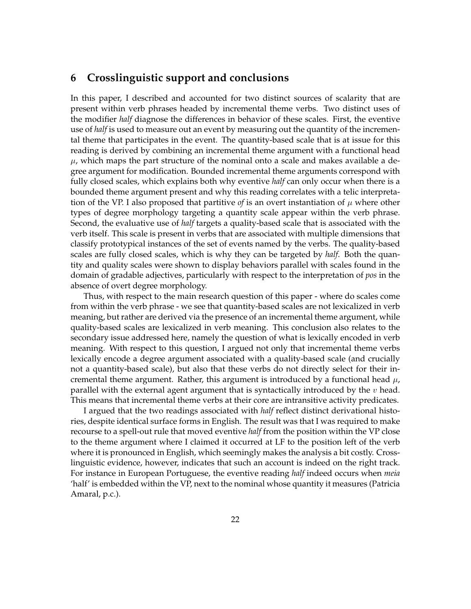# **6 Crosslinguistic support and conclusions**

In this paper, I described and accounted for two distinct sources of scalarity that are present within verb phrases headed by incremental theme verbs. Two distinct uses of the modifier *half* diagnose the differences in behavior of these scales. First, the eventive use of *half* is used to measure out an event by measuring out the quantity of the incremental theme that participates in the event. The quantity-based scale that is at issue for this reading is derived by combining an incremental theme argument with a functional head  $\mu$ , which maps the part structure of the nominal onto a scale and makes available a degree argument for modification. Bounded incremental theme arguments correspond with fully closed scales, which explains both why eventive *half* can only occur when there is a bounded theme argument present and why this reading correlates with a telic interpretation of the VP. I also proposed that partitive *of* is an overt instantiation of  $\mu$  where other types of degree morphology targeting a quantity scale appear within the verb phrase. Second, the evaluative use of *half* targets a quality-based scale that is associated with the verb itself. This scale is present in verbs that are associated with multiple dimensions that classify prototypical instances of the set of events named by the verbs. The quality-based scales are fully closed scales, which is why they can be targeted by *half*. Both the quantity and quality scales were shown to display behaviors parallel with scales found in the domain of gradable adjectives, particularly with respect to the interpretation of *pos* in the absence of overt degree morphology.

Thus, with respect to the main research question of this paper - where do scales come from within the verb phrase - we see that quantity-based scales are not lexicalized in verb meaning, but rather are derived via the presence of an incremental theme argument, while quality-based scales are lexicalized in verb meaning. This conclusion also relates to the secondary issue addressed here, namely the question of what is lexically encoded in verb meaning. With respect to this question, I argued not only that incremental theme verbs lexically encode a degree argument associated with a quality-based scale (and crucially not a quantity-based scale), but also that these verbs do not directly select for their incremental theme argument. Rather, this argument is introduced by a functional head  $\mu$ , parallel with the external agent argument that is syntactically introduced by the  $v$  head. This means that incremental theme verbs at their core are intransitive activity predicates.

I argued that the two readings associated with *half* reflect distinct derivational histories, despite identical surface forms in English. The result was that I was required to make recourse to a spell-out rule that moved eventive *half* from the position within the VP close to the theme argument where I claimed it occurred at LF to the position left of the verb where it is pronounced in English, which seemingly makes the analysis a bit costly. Crosslinguistic evidence, however, indicates that such an account is indeed on the right track. For instance in European Portuguese, the eventive reading *half* indeed occurs when *meia* 'half' is embedded within the VP, next to the nominal whose quantity it measures (Patricia Amaral, p.c.).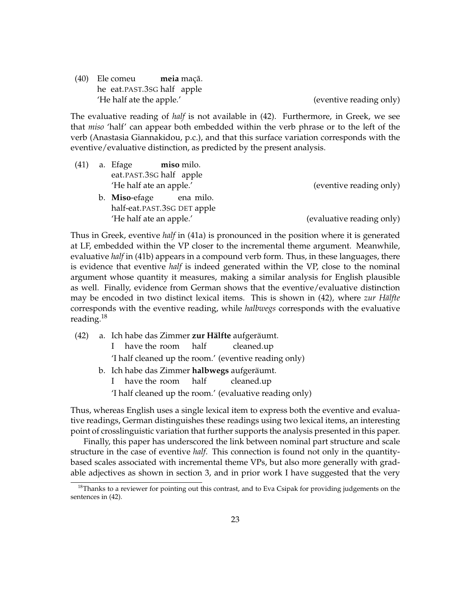(40) Ele comeu he eat.PAST.3SG half apple **meia** maçã. 'He half ate the apple.' (eventive reading only)

The evaluative reading of *half* is not available in (42). Furthermore, in Greek, we see that *miso* 'half' can appear both embedded within the verb phrase or to the left of the verb (Anastasia Giannakidou, p.c.), and that this surface variation corresponds with the eventive/evaluative distinction, as predicted by the present analysis.

|                           | miso milo.                  | a. Efage      |  | (41) |  |
|---------------------------|-----------------------------|---------------|--|------|--|
|                           | eat.PAST.3SG half apple     |               |  |      |  |
| (eventive reading only)   | 'He half ate an apple.'     |               |  |      |  |
|                           | ena milo.                   | b. Miso-efage |  |      |  |
|                           | half-eat.PAST.3SG DET apple |               |  |      |  |
| (evaluative reading only) | 'He half ate an apple.'     |               |  |      |  |

Thus in Greek, eventive *half* in (41a) is pronounced in the position where it is generated at LF, embedded within the VP closer to the incremental theme argument. Meanwhile, evaluative *half* in (41b) appears in a compound verb form. Thus, in these languages, there is evidence that eventive *half* is indeed generated within the VP, close to the nominal argument whose quantity it measures, making a similar analysis for English plausible as well. Finally, evidence from German shows that the eventive/evaluative distinction may be encoded in two distinct lexical items. This is shown in (42), where *zur Hälfte* corresponds with the eventive reading, while *halbwegs* corresponds with the evaluative reading.<sup>18</sup>

(42) a. Ich habe das Zimmer **zur Hälfte** aufgeräumt. I have the room half cleaned.up 'I half cleaned up the room.' (eventive reading only) b. Ich habe das Zimmer **halbwegs** aufgeräumt. I have the room half cleaned.up

'I half cleaned up the room.' (evaluative reading only)

Thus, whereas English uses a single lexical item to express both the eventive and evaluative readings, German distinguishes these readings using two lexical items, an interesting point of crosslinguistic variation that further supports the analysis presented in this paper.

Finally, this paper has underscored the link between nominal part structure and scale structure in the case of eventive *half*. This connection is found not only in the quantitybased scales associated with incremental theme VPs, but also more generally with gradable adjectives as shown in section 3, and in prior work I have suggested that the very

 $18$ Thanks to a reviewer for pointing out this contrast, and to Eva Csipak for providing judgements on the sentences in (42).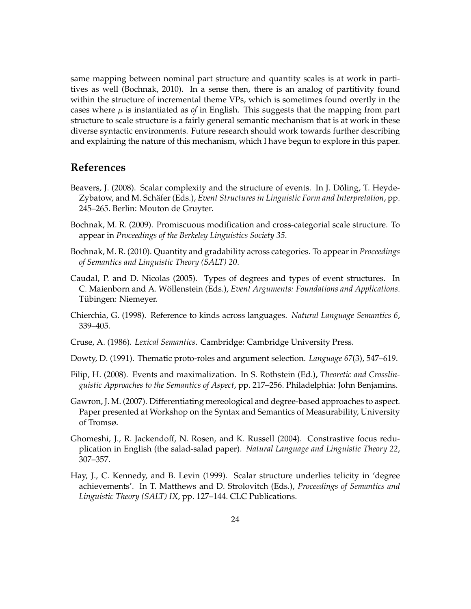same mapping between nominal part structure and quantity scales is at work in partitives as well (Bochnak, 2010). In a sense then, there is an analog of partitivity found within the structure of incremental theme VPs, which is sometimes found overtly in the cases where  $\mu$  is instantiated as *of* in English. This suggests that the mapping from part structure to scale structure is a fairly general semantic mechanism that is at work in these diverse syntactic environments. Future research should work towards further describing and explaining the nature of this mechanism, which I have begun to explore in this paper.

### **References**

- Beavers, J. (2008). Scalar complexity and the structure of events. In J. Döling, T. Heyde-Zybatow, and M. Schäfer (Eds.), *Event Structures in Linguistic Form and Interpretation*, pp. 245–265. Berlin: Mouton de Gruyter.
- Bochnak, M. R. (2009). Promiscuous modification and cross-categorial scale structure. To appear in *Proceedings of the Berkeley Linguistics Society 35*.
- Bochnak, M. R. (2010). Quantity and gradability across categories. To appear in *Proceedings of Semantics and Linguistic Theory (SALT) 20*.
- Caudal, P. and D. Nicolas (2005). Types of degrees and types of event structures. In C. Maienborn and A. Wöllenstein (Eds.), *Event Arguments: Foundations and Applications*. Tübingen: Niemeyer.
- Chierchia, G. (1998). Reference to kinds across languages. *Natural Language Semantics 6*, 339–405.
- Cruse, A. (1986). *Lexical Semantics*. Cambridge: Cambridge University Press.
- Dowty, D. (1991). Thematic proto-roles and argument selection. *Language 67*(3), 547–619.
- Filip, H. (2008). Events and maximalization. In S. Rothstein (Ed.), *Theoretic and Crosslinguistic Approaches to the Semantics of Aspect*, pp. 217–256. Philadelphia: John Benjamins.
- Gawron, J. M. (2007). Differentiating mereological and degree-based approaches to aspect. Paper presented at Workshop on the Syntax and Semantics of Measurability, University of Tromsø.
- Ghomeshi, J., R. Jackendoff, N. Rosen, and K. Russell (2004). Constrastive focus reduplication in English (the salad-salad paper). *Natural Language and Linguistic Theory 22*, 307–357.
- Hay, J., C. Kennedy, and B. Levin (1999). Scalar structure underlies telicity in 'degree achievements'. In T. Matthews and D. Strolovitch (Eds.), *Proceedings of Semantics and Linguistic Theory (SALT) IX*, pp. 127–144. CLC Publications.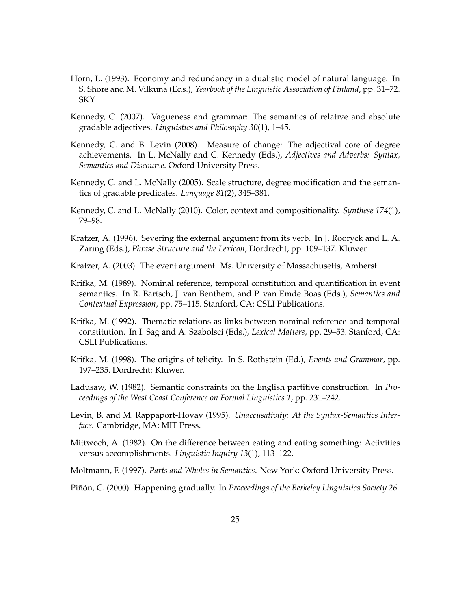- Horn, L. (1993). Economy and redundancy in a dualistic model of natural language. In S. Shore and M. Vilkuna (Eds.), *Yearbook of the Linguistic Association of Finland*, pp. 31–72. SKY.
- Kennedy, C. (2007). Vagueness and grammar: The semantics of relative and absolute gradable adjectives. *Linguistics and Philosophy 30*(1), 1–45.
- Kennedy, C. and B. Levin (2008). Measure of change: The adjectival core of degree achievements. In L. McNally and C. Kennedy (Eds.), *Adjectives and Adverbs: Syntax, Semantics and Discourse*. Oxford University Press.
- Kennedy, C. and L. McNally (2005). Scale structure, degree modification and the semantics of gradable predicates. *Language 81*(2), 345–381.
- Kennedy, C. and L. McNally (2010). Color, context and compositionality. *Synthese 174*(1), 79–98.
- Kratzer, A. (1996). Severing the external argument from its verb. In J. Rooryck and L. A. Zaring (Eds.), *Phrase Structure and the Lexicon*, Dordrecht, pp. 109–137. Kluwer.
- Kratzer, A. (2003). The event argument. Ms. University of Massachusetts, Amherst.
- Krifka, M. (1989). Nominal reference, temporal constitution and quantification in event semantics. In R. Bartsch, J. van Benthem, and P. van Emde Boas (Eds.), *Semantics and Contextual Expression*, pp. 75–115. Stanford, CA: CSLI Publications.
- Krifka, M. (1992). Thematic relations as links between nominal reference and temporal constitution. In I. Sag and A. Szabolsci (Eds.), *Lexical Matters*, pp. 29–53. Stanford, CA: CSLI Publications.
- Krifka, M. (1998). The origins of telicity. In S. Rothstein (Ed.), *Events and Grammar*, pp. 197–235. Dordrecht: Kluwer.
- Ladusaw, W. (1982). Semantic constraints on the English partitive construction. In *Proceedings of the West Coast Conference on Formal Linguistics 1*, pp. 231–242.
- Levin, B. and M. Rappaport-Hovav (1995). *Unaccusativity: At the Syntax-Semantics Interface*. Cambridge, MA: MIT Press.
- Mittwoch, A. (1982). On the difference between eating and eating something: Activities versus accomplishments. *Linguistic Inquiry 13*(1), 113–122.
- Moltmann, F. (1997). *Parts and Wholes in Semantics*. New York: Oxford University Press.
- Piñón, C. (2000). Happening gradually. In *Proceedings of the Berkeley Linguistics Society 26*.